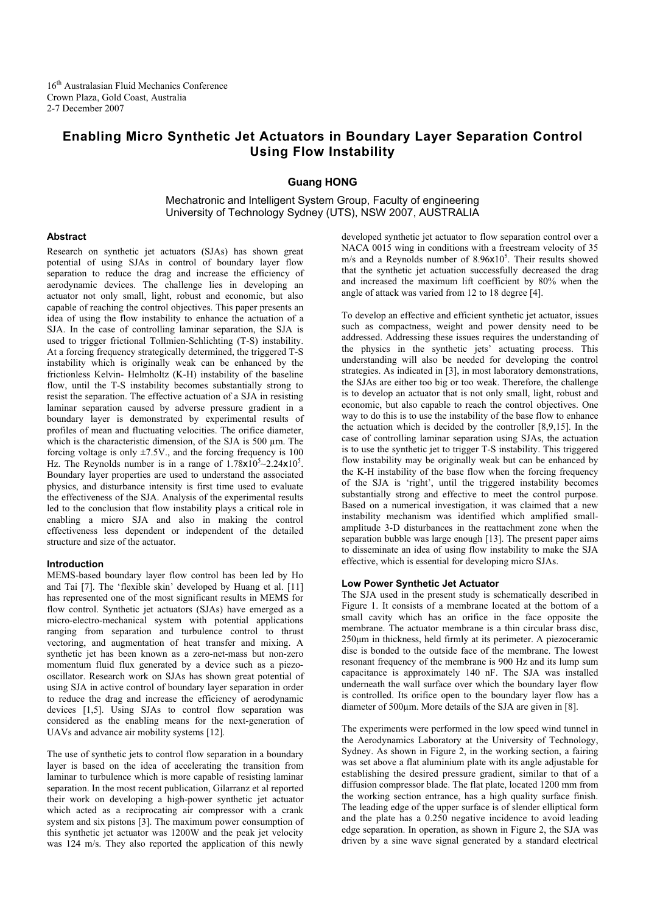16<sup>th</sup> Australasian Fluid Mechanics Conference Crown Plaza, Gold Coast, Australia 2-7 December 2007

# **Enabling Micro Synthetic Jet Actuators in Boundary Layer Separation Control Using Flow Instability**

# **Guang HONG**

Mechatronic and Intelligent System Group, Faculty of engineering University of Technology Sydney (UTS), NSW 2007, AUSTRALIA

# **Abstract**

Research on synthetic jet actuators (SJAs) has shown great potential of using SJAs in control of boundary layer flow separation to reduce the drag and increase the efficiency of aerodynamic devices. The challenge lies in developing an actuator not only small, light, robust and economic, but also capable of reaching the control objectives. This paper presents an idea of using the flow instability to enhance the actuation of a SJA. In the case of controlling laminar separation, the SJA is used to trigger frictional Tollmien-Schlichting (T-S) instability. At a forcing frequency strategically determined, the triggered T-S instability which is originally weak can be enhanced by the frictionless Kelvin- Helmholtz (K-H) instability of the baseline flow, until the T-S instability becomes substantially strong to resist the separation. The effective actuation of a SJA in resisting laminar separation caused by adverse pressure gradient in a boundary layer is demonstrated by experimental results of profiles of mean and fluctuating velocities. The orifice diameter, which is the characteristic dimension, of the SJA is 500 μm. The forcing voltage is only  $\pm$ 7.5V., and the forcing frequency is 100 Hz. The Reynolds number is in a range of  $1.78 \times 10^5$  ~ $2.24 \times 10^5$ . Boundary layer properties are used to understand the associated physics, and disturbance intensity is first time used to evaluate the effectiveness of the SJA. Analysis of the experimental results led to the conclusion that flow instability plays a critical role in enabling a micro SJA and also in making the control effectiveness less dependent or independent of the detailed structure and size of the actuator.

# **Introduction**

MEMS-based boundary layer flow control has been led by Ho and Tai [7]. The 'flexible skin' developed by Huang et al. [11] has represented one of the most significant results in MEMS for flow control. Synthetic jet actuators (SJAs) have emerged as a micro-electro-mechanical system with potential applications ranging from separation and turbulence control to thrust vectoring, and augmentation of heat transfer and mixing. A synthetic jet has been known as a zero-net-mass but non-zero momentum fluid flux generated by a device such as a piezooscillator. Research work on SJAs has shown great potential of using SJA in active control of boundary layer separation in order to reduce the drag and increase the efficiency of aerodynamic devices [1,5]. Using SJAs to control flow separation was considered as the enabling means for the next-generation of UAVs and advance air mobility systems [12].

The use of synthetic jets to control flow separation in a boundary layer is based on the idea of accelerating the transition from laminar to turbulence which is more capable of resisting laminar separation. In the most recent publication, Gilarranz et al reported their work on developing a high-power synthetic jet actuator which acted as a reciprocating air compressor with a crank system and six pistons [3]. The maximum power consumption of this synthetic jet actuator was 1200W and the peak jet velocity was 124 m/s. They also reported the application of this newly

developed synthetic jet actuator to flow separation control over a NACA 0015 wing in conditions with a freestream velocity of 35 m/s and a Reynolds number of 8.96x10<sup>5</sup>. Their results showed that the synthetic jet actuation successfully decreased the drag and increased the maximum lift coefficient by 80% when the angle of attack was varied from 12 to 18 degree [4].

To develop an effective and efficient synthetic jet actuator, issues such as compactness, weight and power density need to be addressed. Addressing these issues requires the understanding of the physics in the synthetic jets' actuating process. This understanding will also be needed for developing the control strategies. As indicated in [3], in most laboratory demonstrations, the SJAs are either too big or too weak. Therefore, the challenge is to develop an actuator that is not only small, light, robust and economic, but also capable to reach the control objectives. One way to do this is to use the instability of the base flow to enhance the actuation which is decided by the controller [8,9,15]. In the case of controlling laminar separation using SJAs, the actuation is to use the synthetic jet to trigger T-S instability. This triggered flow instability may be originally weak but can be enhanced by the K-H instability of the base flow when the forcing frequency of the SJA is 'right', until the triggered instability becomes substantially strong and effective to meet the control purpose. Based on a numerical investigation, it was claimed that a new instability mechanism was identified which amplified smallamplitude 3-D disturbances in the reattachment zone when the separation bubble was large enough [13]. The present paper aims to disseminate an idea of using flow instability to make the SJA effective, which is essential for developing micro SJAs.

### **Low Power Synthetic Jet Actuator**

The SJA used in the present study is schematically described in Figure 1. It consists of a membrane located at the bottom of a small cavity which has an orifice in the face opposite the membrane. The actuator membrane is a thin circular brass disc, 250 $\mu$ m in thickness, held firmly at its perimeter. A piezoceramic disc is bonded to the outside face of the membrane. The lowest resonant frequency of the membrane is 900 Hz and its lump sum capacitance is approximately 140 nF. The SJA was installed underneath the wall surface over which the boundary layer flow is controlled. Its orifice open to the boundary layer flow has a diameter of 500μm. More details of the SJA are given in [8].

The experiments were performed in the low speed wind tunnel in the Aerodynamics Laboratory at the University of Technology, Sydney. As shown in Figure 2, in the working section, a fairing was set above a flat aluminium plate with its angle adjustable for establishing the desired pressure gradient, similar to that of a diffusion compressor blade. The flat plate, located 1200 mm from the working section entrance, has a high quality surface finish. The leading edge of the upper surface is of slender elliptical form and the plate has a 0.250 negative incidence to avoid leading edge separation. In operation, as shown in Figure 2, the SJA was driven by a sine wave signal generated by a standard electrical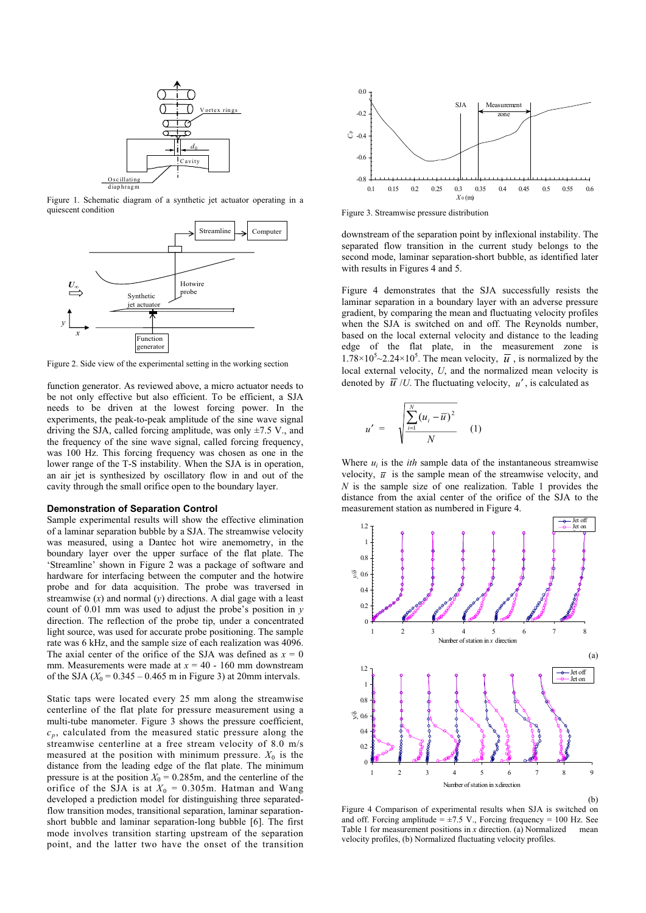

Figure 1. Schematic diagram of a synthetic jet actuator operating in a quiescent condition



Figure 2. Side view of the experimental setting in the working section

function generator. As reviewed above, a micro actuator needs to be not only effective but also efficient. To be efficient, a SJA needs to be driven at the lowest forcing power. In the experiments, the peak-to-peak amplitude of the sine wave signal driving the SJA, called forcing amplitude, was only  $\pm$ 7.5 V., and the frequency of the sine wave signal, called forcing frequency, was 100 Hz. This forcing frequency was chosen as one in the lower range of the T-S instability. When the SJA is in operation, an air jet is synthesized by oscillatory flow in and out of the cavity through the small orifice open to the boundary layer.

# **Demonstration of Separation Control**

Sample experimental results will show the effective elimination of a laminar separation bubble by a SJA. The streamwise velocity was measured, using a Dantec hot wire anemometry, in the boundary layer over the upper surface of the flat plate. The 'Streamline' shown in Figure 2 was a package of software and hardware for interfacing between the computer and the hotwire probe and for data acquisition. The probe was traversed in streamwise  $(x)$  and normal  $(y)$  directions. A dial gage with a least count of 0.01 mm was used to adjust the probe's position in *y* direction. The reflection of the probe tip, under a concentrated light source, was used for accurate probe positioning. The sample rate was 6 kHz, and the sample size of each realization was 4096. The axial center of the orifice of the SJA was defined as  $x = 0$ mm. Measurements were made at  $x = 40 - 160$  mm downstream of the SJA  $(X_0 = 0.345 - 0.465$  m in Figure 3) at 20mm intervals.

Static taps were located every 25 mm along the streamwise centerline of the flat plate for pressure measurement using a multi-tube manometer. Figure 3 shows the pressure coefficient,  $c_p$ , calculated from the measured static pressure along the streamwise centerline at a free stream velocity of 8.0 m/s measured at the position with minimum pressure.  $X_0$  is the distance from the leading edge of the flat plate. The minimum pressure is at the position  $X_0 = 0.285$ m, and the centerline of the orifice of the SJA is at  $X_0 = 0.305$ m. Hatman and Wang developed a prediction model for distinguishing three separatedflow transition modes, transitional separation, laminar separationshort bubble and laminar separation-long bubble [6]. The first mode involves transition starting upstream of the separation point, and the latter two have the onset of the transition



Figure 3. Streamwise pressure distribution

downstream of the separation point by inflexional instability. The separated flow transition in the current study belongs to the second mode, laminar separation-short bubble, as identified later with results in Figures 4 and 5.

Figure 4 demonstrates that the SJA successfully resists the laminar separation in a boundary layer with an adverse pressure gradient, by comparing the mean and fluctuating velocity profiles when the SJA is switched on and off. The Reynolds number, based on the local external velocity and distance to the leading edge of the flat plate, in the measurement zone is  $1.78 \times 10^5$  - 2.24×10<sup>5</sup>. The mean velocity,  $\overline{u}$ , is normalized by the local external velocity, *U*, and the normalized mean velocity is denoted by  $\overline{u}$  /*U*. The fluctuating velocity,  $u'$ , is calculated as

$$
u' = \sqrt{\frac{\sum_{i=1}^{N} (u_i - \overline{u})^2}{N}}
$$
 (1)

Where  $u_i$  is the *ith* sample data of the instantaneous streamwise velocity,  $\bar{u}$  is the sample mean of the streamwise velocity, and *N* is the sample size of one realization. Table 1 provides the distance from the axial center of the orifice of the SJA to the measurement station as numbered in Figure 4.



Figure 4 Comparison of experimental results when SJA is switched on and off. Forcing amplitude =  $\pm$ 7.5 V., Forcing frequency = 100 Hz. See Table 1 for measurement positions in *x* direction. (a) Normalized mean velocity profiles, (b) Normalized fluctuating velocity profiles.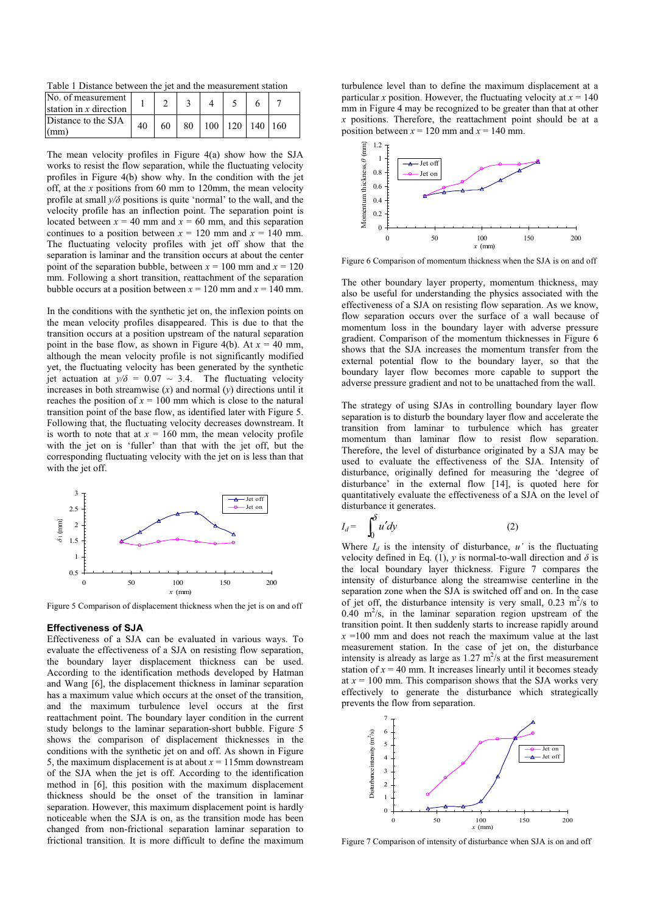Table 1 Distance between the jet and the measurement station

| No. of measurement<br>station in $x$ direction |    |    |    |                       |  |  |
|------------------------------------------------|----|----|----|-----------------------|--|--|
| Distance to the SJA<br>$\vert$ (mm)            | 40 | 60 | 80 | 100   120   140   160 |  |  |

The mean velocity profiles in Figure 4(a) show how the SJA works to resist the flow separation, while the fluctuating velocity profiles in Figure 4(b) show why. In the condition with the jet off, at the *x* positions from 60 mm to 120mm, the mean velocity profile at small  $y/\delta$  positions is quite 'normal' to the wall, and the velocity profile has an inflection point. The separation point is located between  $x = 40$  mm and  $x = 60$  mm, and this separation continues to a position between  $x = 120$  mm and  $x = 140$  mm. The fluctuating velocity profiles with jet off show that the separation is laminar and the transition occurs at about the center point of the separation bubble, between  $x = 100$  mm and  $x = 120$ mm. Following a short transition, reattachment of the separation bubble occurs at a position between  $x = 120$  mm and  $x = 140$  mm.

In the conditions with the synthetic jet on, the inflexion points on the mean velocity profiles disappeared. This is due to that the transition occurs at a position upstream of the natural separation point in the base flow, as shown in Figure 4(b). At  $x = 40$  mm, although the mean velocity profile is not significantly modified yet, the fluctuating velocity has been generated by the synthetic jet actuation at  $y/\delta = 0.07 \sim 3.4$ . The fluctuating velocity increases in both streamwise  $(x)$  and normal  $(y)$  directions until it reaches the position of  $x = 100$  mm which is close to the natural transition point of the base flow, as identified later with Figure 5. Following that, the fluctuating velocity decreases downstream. It is worth to note that at  $x = 160$  mm, the mean velocity profile with the jet on is 'fuller' than that with the jet off, but the corresponding fluctuating velocity with the jet on is less than that with the jet off.



Figure 5 Comparison of displacement thickness when the jet is on and off

#### **Effectiveness of SJA**

Effectiveness of a SJA can be evaluated in various ways. To evaluate the effectiveness of a SJA on resisting flow separation, the boundary layer displacement thickness can be used. According to the identification methods developed by Hatman and Wang [6], the displacement thickness in laminar separation has a maximum value which occurs at the onset of the transition, and the maximum turbulence level occurs at the first reattachment point. The boundary layer condition in the current study belongs to the laminar separation-short bubble. Figure 5 shows the comparison of displacement thicknesses in the conditions with the synthetic jet on and off. As shown in Figure 5, the maximum displacement is at about  $x = 115$ mm downstream of the SJA when the jet is off. According to the identification method in [6], this position with the maximum displacement thickness should be the onset of the transition in laminar separation. However, this maximum displacement point is hardly noticeable when the SJA is on, as the transition mode has been changed from non-frictional separation laminar separation to frictional transition. It is more difficult to define the maximum turbulence level than to define the maximum displacement at a particular *x* position. However, the fluctuating velocity at  $x = 140$ mm in Figure 4 may be recognized to be greater than that at other *x* positions. Therefore, the reattachment point should be at a position between  $x = 120$  mm and  $x = 140$  mm.



Figure 6 Comparison of momentum thickness when the SJA is on and off

The other boundary layer property, momentum thickness, may also be useful for understanding the physics associated with the effectiveness of a SJA on resisting flow separation. As we know, flow separation occurs over the surface of a wall because of momentum loss in the boundary layer with adverse pressure gradient. Comparison of the momentum thicknesses in Figure 6 shows that the SJA increases the momentum transfer from the external potential flow to the boundary layer, so that the boundary layer flow becomes more capable to support the adverse pressure gradient and not to be unattached from the wall.

The strategy of using SJAs in controlling boundary layer flow separation is to disturb the boundary layer flow and accelerate the transition from laminar to turbulence which has greater momentum than laminar flow to resist flow separation. Therefore, the level of disturbance originated by a SJA may be used to evaluate the effectiveness of the SJA. Intensity of disturbance, originally defined for measuring the 'degree of disturbance' in the external flow [14], is quoted here for quantitatively evaluate the effectiveness of a SJA on the level of disturbance it generates.

$$
I_d = \int_0^\delta u' dy \tag{2}
$$

Where  $I_d$  is the intensity of disturbance,  $u'$  is the fluctuating velocity defined in Eq. (1), *y* is normal-to-wall direction and  $\delta$  is the local boundary layer thickness. Figure 7 compares the intensity of disturbance along the streamwise centerline in the separation zone when the SJA is switched off and on. In the case of jet off, the disturbance intensity is very small,  $0.23 \text{ m}^2/\text{s}$  to  $0.40 \text{ m}^2/\text{s}$ , in the laminar separation region upstream of the transition point. It then suddenly starts to increase rapidly around  $x = 100$  mm and does not reach the maximum value at the last measurement station. In the case of jet on, the disturbance intensity is already as large as  $1.27 \text{ m}^2/\text{s}$  at the first measurement station of  $x = 40$  mm. It increases linearly until it becomes steady at  $x = 100$  mm. This comparison shows that the SJA works very effectively to generate the disturbance which strategically prevents the flow from separation.



Figure 7 Comparison of intensity of disturbance when SJA is on and off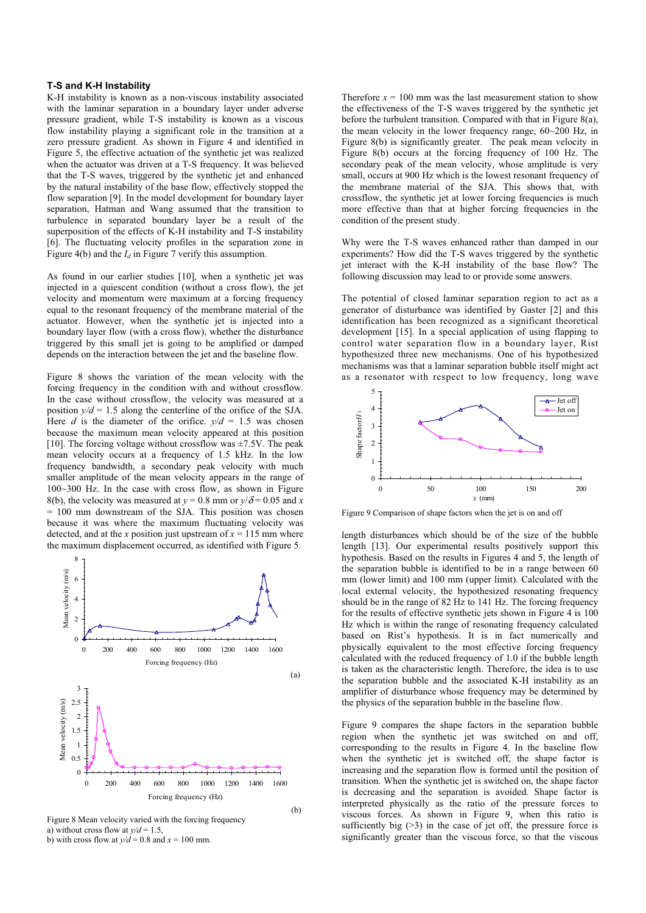# **T-S and K-H Instability**

K-H instability is known as a non-viscous instability associated with the laminar separation in a boundary layer under adverse pressure gradient, while T-S instability is known as a viscous flow instability playing a significant role in the transition at a zero pressure gradient. As shown in Figure 4 and identified in Figure 5, the effective actuation of the synthetic jet was realized when the actuator was driven at a T-S frequency. It was believed that the T-S waves, triggered by the synthetic jet and enhanced by the natural instability of the base flow, effectively stopped the flow separation [9]. In the model development for boundary layer separation, Hatman and Wang assumed that the transition to turbulence in separated boundary layer be a result of the superposition of the effects of K-H instability and T-S instability [6]. The fluctuating velocity profiles in the separation zone in Figure 4(b) and the  $I_d$  in Figure 7 verify this assumption.

As found in our earlier studies [10], when a synthetic jet was injected in a quiescent condition (without a cross flow), the jet velocity and momentum were maximum at a forcing frequency equal to the resonant frequency of the membrane material of the actuator. However, when the synthetic jet is injected into a boundary layer flow (with a cross flow), whether the disturbance triggered by this small jet is going to be amplified or damped depends on the interaction between the jet and the baseline flow.

Figure 8 shows the variation of the mean velocity with the forcing frequency in the condition with and without crossflow. In the case without crossflow, the velocity was measured at a position  $y/d = 1.5$  along the centerline of the orifice of the SJA. Here *d* is the diameter of the orifice.  $y/d = 1.5$  was chosen because the maximum mean velocity appeared at this position [10]. The forcing voltage without crossflow was  $\pm$ 7.5V. The peak mean velocity occurs at a frequency of 1.5 kHz. In the low frequency bandwidth, a secondary peak velocity with much smaller amplitude of the mean velocity appears in the range of 100~300 Hz. In the case with cross flow, as shown in Figure 8(b), the velocity was measured at  $y = 0.8$  mm or  $y/\delta = 0.05$  and *x*  $= 100$  mm downstream of the SJA. This position was chosen because it was where the maximum fluctuating velocity was detected, and at the *x* position just upstream of  $x = 115$  mm where the maximum displacement occurred, as identified with Figure 5.



Figure 8 Mean velocity varied with the forcing frequency a) without cross flow at  $y/d = 1.5$ , b) with cross flow at  $y/d = 0.8$  and  $x = 100$  mm.

Therefore  $x = 100$  mm was the last measurement station to show the effectiveness of the T-S waves triggered by the synthetic jet before the turbulent transition. Compared with that in Figure 8(a), the mean velocity in the lower frequency range, 60~200 Hz, in Figure 8(b) is significantly greater. The peak mean velocity in Figure 8(b) occurs at the forcing frequency of 100 Hz. The secondary peak of the mean velocity, whose amplitude is very small, occurs at 900 Hz which is the lowest resonant frequency of the membrane material of the SJA. This shows that, with crossflow, the synthetic jet at lower forcing frequencies is much more effective than that at higher forcing frequencies in the condition of the present study.

Why were the T-S waves enhanced rather than damped in our experiments? How did the T-S waves triggered by the synthetic jet interact with the K-H instability of the base flow? The following discussion may lead to or provide some answers.

The potential of closed laminar separation region to act as a generator of disturbance was identified by Gaster [2] and this identification has been recognized as a significant theoretical development [15]. In a special application of using flapping to control water separation flow in a boundary layer, Rist hypothesized three new mechanisms. One of his hypothesized mechanisms was that a laminar separation bubble itself might act as a resonator with respect to low frequency, long wave



Figure 9 Comparison of shape factors when the jet is on and off

length disturbances which should be of the size of the bubble length [13]. Our experimental results positively support this hypothesis. Based on the results in Figures 4 and 5, the length of the separation bubble is identified to be in a range between 60 mm (lower limit) and 100 mm (upper limit). Calculated with the local external velocity, the hypothesized resonating frequency should be in the range of 82 Hz to 141 Hz. The forcing frequency for the results of effective synthetic jets shown in Figure 4 is 100 Hz which is within the range of resonating frequency calculated based on Rist's hypothesis. It is in fact numerically and physically equivalent to the most effective forcing frequency calculated with the reduced frequency of 1.0 if the bubble length is taken as the characteristic length. Therefore, the idea is to use the separation bubble and the associated K-H instability as an amplifier of disturbance whose frequency may be determined by the physics of the separation bubble in the baseline flow.

Figure 9 compares the shape factors in the separation bubble region when the synthetic jet was switched on and off, corresponding to the results in Figure 4. In the baseline flow when the synthetic jet is switched off, the shape factor is increasing and the separation flow is formed until the position of transition. When the synthetic jet is switched on, the shape factor is decreasing and the separation is avoided. Shape factor is interpreted physically as the ratio of the pressure forces to viscous forces. As shown in Figure 9, when this ratio is sufficiently big  $(>3)$  in the case of jet off, the pressure force is significantly greater than the viscous force, so that the viscous